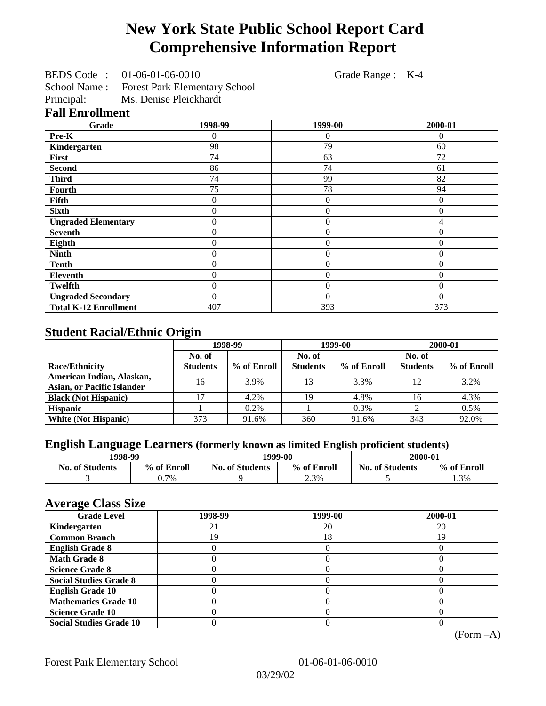# **New York State Public School Report Card Comprehensive Information Report**

BEDS Code : 01-06-01-06-0010 Grade Range : K-4

School Name : Forest Park Elementary School<br>Principal: Ms. Denise Pleickhardt

Ms. Denise Pleickhardt

#### **Fall Enrollment**

| Grade                        | 1998-99        | 1999-00        | 2000-01  |
|------------------------------|----------------|----------------|----------|
| Pre-K                        | 0              | 0              | $\Omega$ |
| Kindergarten                 | 98             | 79             | 60       |
| First                        | 74             | 63             | 72       |
| <b>Second</b>                | 86             | 74             | 61       |
| <b>Third</b>                 | 74             | 99             | 82       |
| <b>Fourth</b>                | 75             | 78             | 94       |
| Fifth                        | 0              | 0              | $\Omega$ |
| <b>Sixth</b>                 | 0              | $\overline{0}$ | $\theta$ |
| <b>Ungraded Elementary</b>   | 0              | $\overline{0}$ | 4        |
| <b>Seventh</b>               | $\overline{0}$ | $\overline{0}$ | $\theta$ |
| Eighth                       | $\theta$       | $\theta$       | $\Omega$ |
| <b>Ninth</b>                 | $\theta$       | $\overline{0}$ | $\theta$ |
| <b>Tenth</b>                 | $\overline{0}$ | $\overline{0}$ | $\theta$ |
| <b>Eleventh</b>              | $\overline{0}$ | $\overline{0}$ | $\theta$ |
| <b>Twelfth</b>               | 0              | $\overline{0}$ | $\theta$ |
| <b>Ungraded Secondary</b>    | 0              | $\Omega$       | $\Omega$ |
| <b>Total K-12 Enrollment</b> | 407            | 393            | 373      |

## **Student Racial/Ethnic Origin**

|                                   | 1998-99         |             | 1999-00         |             | 2000-01         |             |
|-----------------------------------|-----------------|-------------|-----------------|-------------|-----------------|-------------|
|                                   | No. of          |             | No. of          |             | No. of          |             |
| <b>Race/Ethnicity</b>             | <b>Students</b> | % of Enroll | <b>Students</b> | % of Enroll | <b>Students</b> | % of Enroll |
| American Indian, Alaskan,         | 16              | 3.9%        | 13              | 3.3%        | 12              | 3.2%        |
| <b>Asian, or Pacific Islander</b> |                 |             |                 |             |                 |             |
| <b>Black (Not Hispanic)</b>       |                 | 4.2%        | 19              | 4.8%        | 16              | 4.3%        |
| <b>Hispanic</b>                   |                 | 0.2%        |                 | 0.3%        |                 | 0.5%        |
| <b>White (Not Hispanic)</b>       | 373             | 91.6%       | 360             | 91.6%       | 343             | 92.0%       |

## **English Language Learners (formerly known as limited English proficient students)**

| 1998-99                |             | 1999-00                |             | 2000-01                |             |
|------------------------|-------------|------------------------|-------------|------------------------|-------------|
| <b>No. of Students</b> | % of Enroll | <b>No. of Students</b> | % of Enroll | <b>No. of Students</b> | % of Enroll |
|                        | $0.7\%$     |                        | 2.3%        |                        | 1.3%        |

#### **Average Class Size**

| ------<br><b>Grade Level</b>   | 1998-99 | 1999-00 | 2000-01 |
|--------------------------------|---------|---------|---------|
| Kindergarten                   |         | 20      | 20      |
| <b>Common Branch</b>           | 19      | 18      | 19      |
| <b>English Grade 8</b>         |         |         |         |
| <b>Math Grade 8</b>            |         |         |         |
| <b>Science Grade 8</b>         |         |         |         |
| <b>Social Studies Grade 8</b>  |         |         |         |
| <b>English Grade 10</b>        |         |         |         |
| <b>Mathematics Grade 10</b>    |         |         |         |
| <b>Science Grade 10</b>        |         |         |         |
| <b>Social Studies Grade 10</b> |         |         |         |

(Form –A)